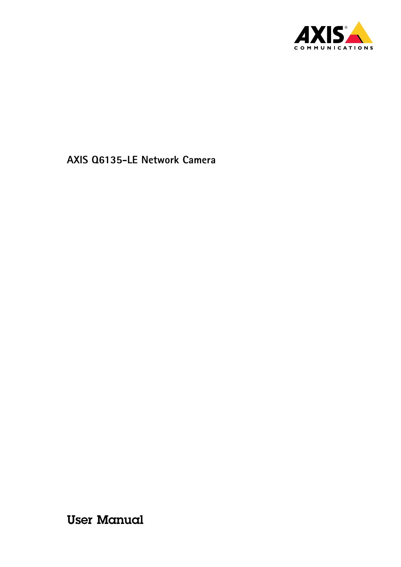

User Manual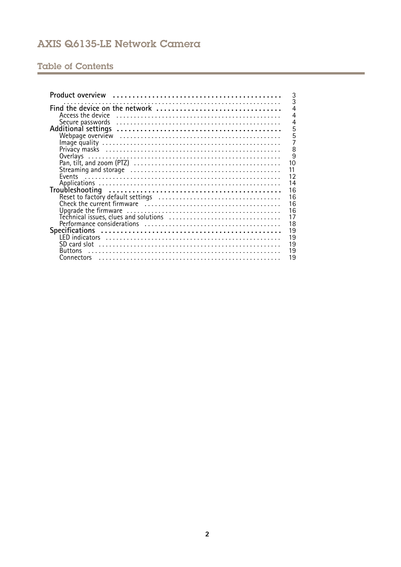# **Table of Contents**

| 3<br>3                                                                                                                            |
|-----------------------------------------------------------------------------------------------------------------------------------|
| $\overline{4}$<br>Find the device on the network                                                                                  |
| $\overline{4}$<br>Access the device in the contract of the contract of the device in the contract of the device in the contract o |
| 4                                                                                                                                 |
| 5                                                                                                                                 |
| 5<br>7                                                                                                                            |
| 8                                                                                                                                 |
| $\overline{9}$                                                                                                                    |
| 10                                                                                                                                |
| 11                                                                                                                                |
| 12                                                                                                                                |
| 14                                                                                                                                |
| 16                                                                                                                                |
| 16                                                                                                                                |
| 16                                                                                                                                |
| 16                                                                                                                                |
| 17                                                                                                                                |
| 18                                                                                                                                |
| 19                                                                                                                                |
| 19<br>19                                                                                                                          |
| 19<br><b>Buttons</b>                                                                                                              |
| 19                                                                                                                                |
|                                                                                                                                   |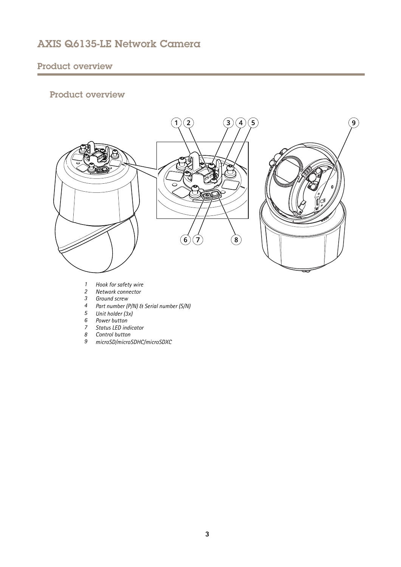# <span id="page-2-0"></span>Product overview

# Product overview



- *1 Hook for safety wire*
- *2 Network connector*
- *3 Ground screw*
- *<sup>4</sup> Part number (P/N) & Serial number (S/N)*
- *5 Unit holder (3x)*
- *6 Power button*
- *7 Status LED indicator*
- *8 Control button*
- *9 microSD/microSDHC/microSDXC*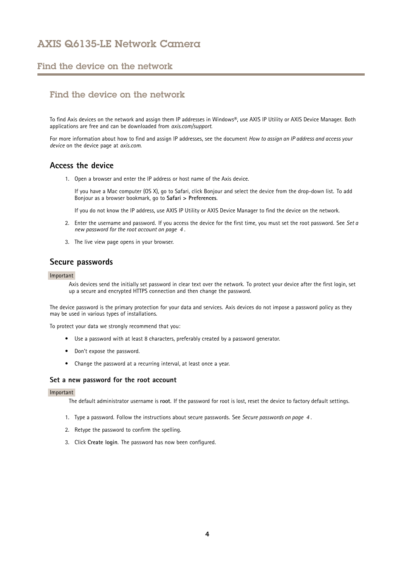# <span id="page-3-0"></span>Find the device on the network

# Find the device on the network

To find Axis devices on the network and assign them IP addresses in Windows®, use AXIS IP Utility or AXIS Device Manager. Both applications are free and can be downloaded from *[axis.com/support](https://www.axis.com/support)*.

For more information about how to find and assign IP addresses, see the document *How to assign an IP address and access your device* on the device page at *[axis.com](https://www.axis.com)*.

# **Access the device**

1. Open <sup>a</sup> browser and enter the IP address or host name of the Axis device.

If you have <sup>a</sup> Mac computer (OS X), go to Safari, click Bonjour and select the device from the drop-down list. To add Bonjour as <sup>a</sup> browser bookmark, go to **Safari <sup>&</sup>gt; Preferences**.

If you do not know the IP address, use AXIS IP Utility or AXIS Device Manager to find the device on the network.

- 2. Enter the username and password. If you access the device for the first time, you must set the root password. See *Set <sup>a</sup> new password for the root account on page <sup>4</sup>* .
- 3. The live view page opens in your browser.

## **Secure passwords**

### Important

Axis devices send the initially set password in clear text over the network. To protect your device after the first login, set up <sup>a</sup> secure and encrypted HTTPS connection and then change the password.

The device password is the primary protection for your data and services. Axis devices do not impose <sup>a</sup> password policy as they may be used in various types of installations.

To protect your data we strongly recommend that you:

- Use <sup>a</sup> password with at least 8 characters, preferably created by <sup>a</sup> password generator.
- Don't expose the password.
- Change the password at <sup>a</sup> recurring interval, at least once <sup>a</sup> year.

### **Set <sup>a</sup> new password for the root account**

### Important

The default administrator username is **root**. If the password for root is lost, reset the device to factory default settings.

- 1. Type <sup>a</sup> password. Follow the instructions about secure passwords. See *Secure passwords on page <sup>4</sup>* .
- 2. Retype the password to confirm the spelling.
- 3. Click **Create login**. The password has now been configured.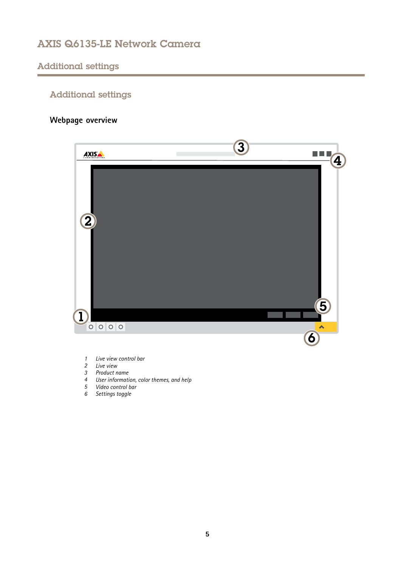# <span id="page-4-0"></span>Additional settings

# Additional settings

# **Webpage overview**



- *1 Live view control bar*
- *2 Live view*
- *3 Product name*
- *<sup>4</sup> User information, color themes, and help*
- *5 Video control bar*
- *6 Settings toggle*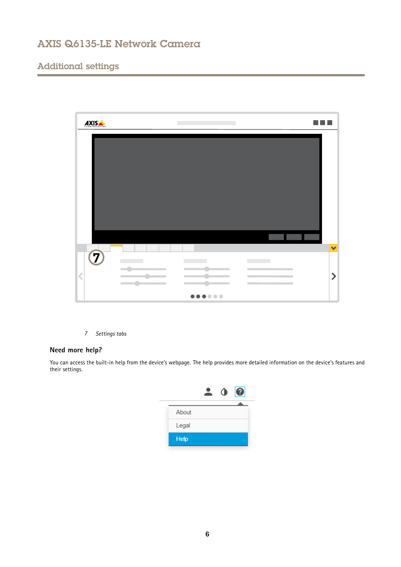# Additional settings



*7 Settings tabs*

## **Need more help?**

You can access the built-in help from the device's webpage. The help provides more detailed information on the device's features and their settings.

|             | $\bullet$ | 0 |
|-------------|-----------|---|
|             |           |   |
| About       |           |   |
| Legal       |           |   |
| <b>Help</b> |           |   |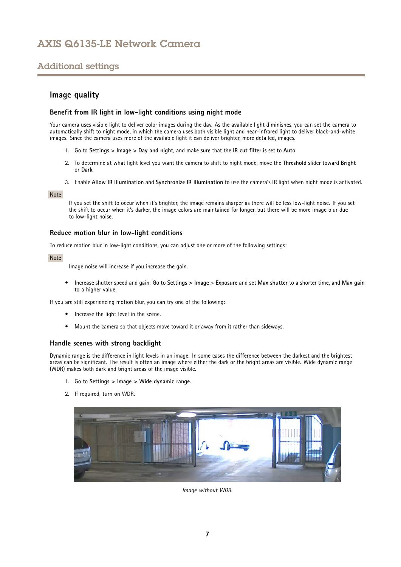# <span id="page-6-0"></span>Additional settings

## **Image quality**

## **Benefit from IR light in low-light conditions using night mode**

Your camera uses visible light to deliver color images during the day. As the available light diminishes, you can set the camera to automatically shift to night mode, in which the camera uses both visible light and near-infrared light to deliver black-and-white images. Since the camera uses more of the available light it can deliver brighter, more detailed, images.

- 1. Go to **Settings <sup>&</sup>gt; Image <sup>&</sup>gt; Day and night**, and make sure that the **IR cut filter** is set to **Auto**.
- 2. To determine at what light level you want the camera to shift to night mode, move the **Threshold** slider toward **Bright** or **Dark**.
- 3. Enable **Allow IR illumination** and **Synchronize IR illumination** to use the camera's IR light when night mode is activated.

### Note

If you set the shift to occur when it's brighter, the image remains sharper as there will be less low-light noise. If you set the shift to occur when it's darker, the image colors are maintained for longer, but there will be more image blur due to low-light noise.

## **Reduce motion blur in low-light conditions**

To reduce motion blur in low-light conditions, you can adjust one or more of the following settings:

### Note

Image noise will increase if you increase the gain.

• Increase shutter speed and gain. Go to **Settings <sup>&</sup>gt; Image** <sup>&</sup>gt; **Exposure** and set **Max shutter** to <sup>a</sup> shorter time, and **Max gain** to <sup>a</sup> higher value.

If you are still experiencing motion blur, you can try one of the following:

- Increase the light level in the scene.
- Mount the camera so that objects move toward it or away from it rather than sideways.

## **Handle scenes with strong backlight**

Dynamic range is the difference in light levels in an image. In some cases the difference between the darkest and the brightest areas can be significant. The result is often an image where either the dark or the bright areas are visible. Wide dynamic range (WDR) makes both dark and bright areas of the image visible.

- 1. Go to **Settings <sup>&</sup>gt; Image <sup>&</sup>gt; Wide dynamic range**.
- 2. If required, turn on WDR.



*Image without WDR.*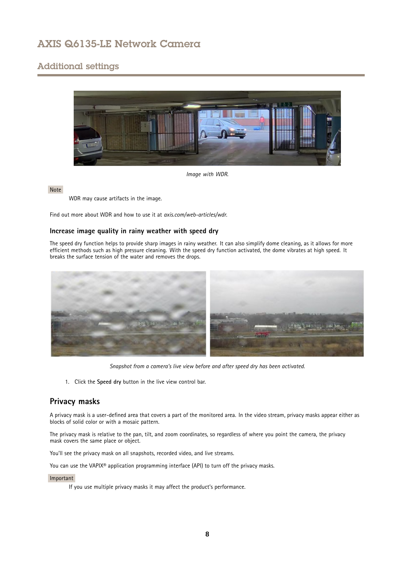# <span id="page-7-0"></span>Additional settings



### *Image with WDR.*

### Note

WDR may cause artifacts in the image.

Find out more about WDR and how to use it at *[axis.com/web-articles/wdr](https://www.axis.com/web-articles/wdr)*.

## **Increase image quality in rainy weather with speed dry**

The speed dry function helps to provide sharp images in rainy weather. It can also simplify dome cleaning, as it allows for more efficient methods such as high pressure cleaning. With the speed dry function activated, the dome vibrates at high speed. It breaks the surface tension of the water and removes the drops.



*Snapshot from <sup>a</sup> camera's live view before and after speed dry has been activated.*

1. Click the **Speed dry** button in the live view control bar.

## **Privacy masks**

A privacy mask is <sup>a</sup> user-defined area that covers <sup>a</sup> part of the monitored area. In the video stream, privacy masks appear either as blocks of solid color or with <sup>a</sup> mosaic pattern.

The privacy mask is relative to the pan, tilt, and zoom coordinates, so regardless of where you point the camera, the privacy mask covers the same place or object.

You'll see the privacy mask on all snapshots, recorded video, and live streams.

You can use the VAPIX® application programming interface (API) to turn off the privacy masks.

### Important

If you use multiple privacy masks it may affect the product's performance.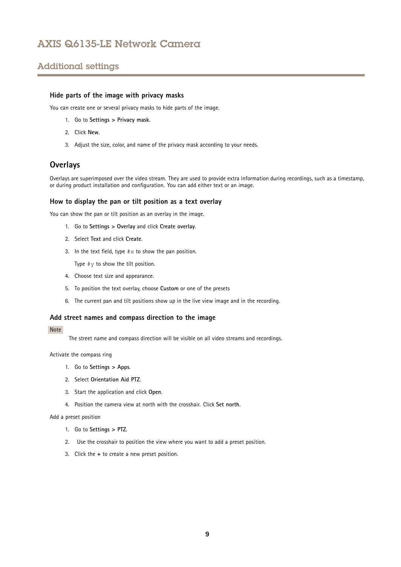# <span id="page-8-0"></span>Additional settings

## **Hide parts of the image with privacy masks**

You can create one or several privacy masks to hide parts of the image.

- 1. Go to **Settings <sup>&</sup>gt; Privacy mask**.
- 2. Click **New**.
- 3. Adjust the size, color, and name of the privacy mask according to your needs.

## **Overlays**

Overlays are superimposed over the video stream. They are used to provide extra information during recordings, such as <sup>a</sup> timestamp, or during product installation and configuration. You can add either text or an image.

### **How to display the pan or tilt position as <sup>a</sup> text overlay**

You can show the pan or tilt position as an overlay in the image.

- 1. Go to **Settings <sup>&</sup>gt; Overlay** and click **Create overlay**.
- 2. Select **Text** and click **Create**.
- 3. In the text field, type  $\# \times$  to show the pan position.

Type  $\#$ y to show the tilt position.

- 4. Choose text size and appearance.
- 5. To position the text overlay, choose **Custom** or one of the presets
- 6. The current pan and tilt positions show up in the live view image and in the recording.

## **Add street names and compass direction to the image**

### Note

The street name and compass direction will be visible on all video streams and recordings.

Activate the compass ring

- 1. Go to **Settings <sup>&</sup>gt; Apps**.
- 2. Select **Orientation Aid PTZ**.
- 3. Start the application and click **Open**.
- 4. Position the camera view at north with the crosshair. Click **Set north**.

Add <sup>a</sup> preset position

- 1. Go to **Settings <sup>&</sup>gt; PTZ**.
- 2. Use the crosshair to position the view where you want to add <sup>a</sup> preset position.
- 3. Click the **<sup>+</sup>** to create <sup>a</sup> new preset position.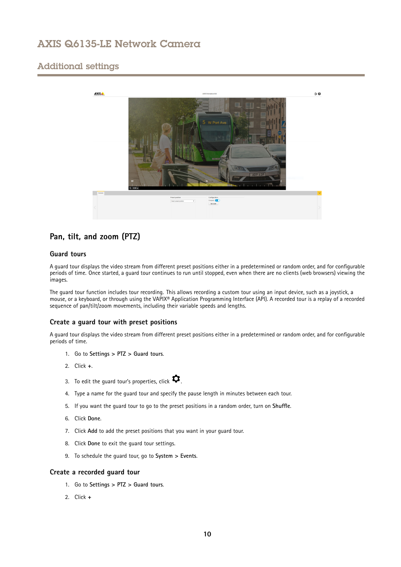# <span id="page-9-0"></span>Additional settings



# **Pan, tilt, and zoom (PTZ)**

## **Guard tours**

A guard tour displays the video stream from different preset positions either in <sup>a</sup> predetermined or random order, and for configurable periods of time. Once started, <sup>a</sup> guard tour continues to run until stopped, even when there are no clients (web browsers) viewing the images.

The guard tour function includes tour recording. This allows recording <sup>a</sup> custom tour using an input device, such as <sup>a</sup> joystick, <sup>a</sup> mouse, or <sup>a</sup> keyboard, or through using the VAPIX® Application Programming Interface (API). A recorded tour is <sup>a</sup> replay of <sup>a</sup> recorded sequence of pan/tilt/zoom movements, including their variable speeds and lengths.

## **Create <sup>a</sup> guard tour with preset positions**

A guard tour displays the video stream from different preset positions either in <sup>a</sup> predetermined or random order, and for configurable periods of time.

- 1. Go to **Settings <sup>&</sup>gt; PTZ <sup>&</sup>gt; Guard tours**.
- 2. Click **<sup>+</sup>**.
- 3. To edit the guard tour's properties, click  $\boldsymbol{\mathcal{D}}$ .
- 4. Type <sup>a</sup> name for the guard tour and specify the pause length in minutes between each tour.
- 5. If you want the guard tour to go to the preset positions in <sup>a</sup> random order, turn on **Shuffle**.
- 6. Click **Done**.
- 7. Click **Add** to add the preset positions that you want in your guard tour.
- 8. Click **Done** to exit the guard tour settings.
- 9. To schedule the guard tour, go to **System <sup>&</sup>gt; Events**.

## **Create <sup>a</sup> recorded guard tour**

- 1. Go to **Settings <sup>&</sup>gt; PTZ <sup>&</sup>gt; Guard tours**.
- 2. Click **<sup>+</sup>**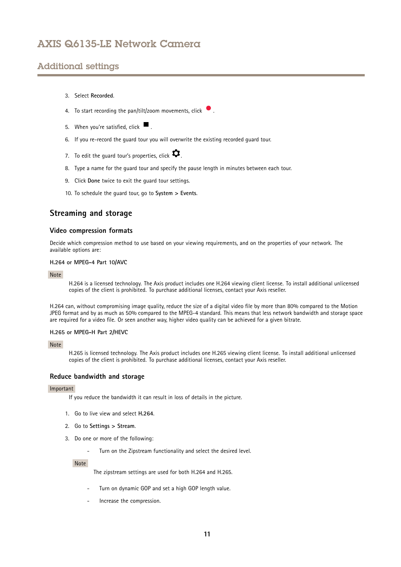# <span id="page-10-0"></span>Additional settings

- 3. Select **Recorded**.
- 4. To start recording the pan/tilt/zoom movements, click  $\bullet$ .
- 5. When you're satisfied, click  $\blacksquare$ .
- 6. If you re-record the guard tour you will overwrite the existing recorded guard tour.
- 7. To edit the guard tour's properties, click  $\boldsymbol{\mathcal{Q}}$ .
- 8. Type <sup>a</sup> name for the guard tour and specify the pause length in minutes between each tour.
- 9. Click **Done** twice to exit the guard tour settings.
- 10. To schedule the guard tour, go to **System <sup>&</sup>gt; Events**.

## **Streaming and storage**

### **Video compression formats**

Decide which compression method to use based on your viewing requirements, and on the properties of your network. The available options are:

### **H.264 or MPEG-4 Part 10/AVC**

### Note

H.264 is <sup>a</sup> licensed technology. The Axis product includes one H.264 viewing client license. To install additional unlicensed copies of the client is prohibited. To purchase additional licenses, contact your Axis reseller.

H.264 can, without compromising image quality, reduce the size of <sup>a</sup> digital video file by more than 80% compared to the Motion JPEG format and by as much as 50% compared to the MPEG-4 standard. This means that less network bandwidth and storage space are required for <sup>a</sup> video file. Or seen another way, higher video quality can be achieved for <sup>a</sup> given bitrate.

### **H.265 or MPEG-H Part 2/HEVC**

### Note

H.265 is licensed technology. The Axis product includes one H.265 viewing client license. To install additional unlicensed copies of the client is prohibited. To purchase additional licenses, contact your Axis reseller.

### **Reduce bandwidth and storage**

### Important

If you reduce the bandwidth it can result in loss of details in the picture.

- 1. Go to live view and select **H.264**.
- 2. Go to **Settings <sup>&</sup>gt; Stream**.
- 3. Do one or more of the following:
	- -Turn on the Zipstream functionality and select the desired level.

Note

The zipstream settings are used for both H.264 and H.265.

- Turn on dynamic GOP and set <sup>a</sup> high GOP length value.
- Increase the compression.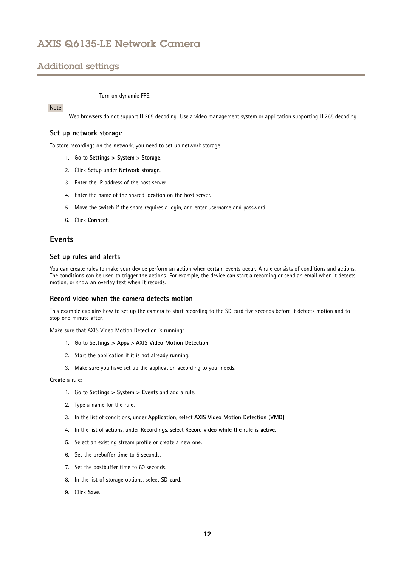# <span id="page-11-0"></span>Additional settings

#### -Turn on dynamic FPS.

### Note

Web browsers do not support H.265 decoding. Use <sup>a</sup> video management system or application supporting H.265 decoding.

### **Set up network storage**

To store recordings on the network, you need to set up network storage:

- 1. Go to **Settings <sup>&</sup>gt; System** <sup>&</sup>gt; **Storage**.
- 2. Click **Setup** under **Network storage**.
- 3. Enter the IP address of the host server.
- 4. Enter the name of the shared location on the host server.
- 5. Move the switch if the share requires <sup>a</sup> login, and enter username and password.
- 6. Click **Connect**.

## **Events**

## **Set up rules and alerts**

You can create rules to make your device perform an action when certain events occur. A rule consists of conditions and actions. The conditions can be used to trigger the actions. For example, the device can start <sup>a</sup> recording or send an email when it detects motion, or show an overlay text when it records.

### **Record video when the camera detects motion**

This example explains how to set up the camera to start recording to the SD card five seconds before it detects motion and to stop one minute after.

Make sure that AXIS Video Motion Detection is running:

- 1. Go to **Settings <sup>&</sup>gt; Apps** <sup>&</sup>gt; **AXIS Video Motion Detection**.
- 2. Start the application if it is not already running.
- 3. Make sure you have set up the application according to your needs.

Create <sup>a</sup> rule:

- 1. Go to **Settings <sup>&</sup>gt; System <sup>&</sup>gt; Events** and add <sup>a</sup> rule.
- 2. Type <sup>a</sup> name for the rule.
- 3. In the list of conditions, under **Application**, select **AXIS Video Motion Detection (VMD)**.
- 4. In the list of actions, under **Recordings**, select **Record video while the rule is active**.
- 5. Select an existing stream profile or create <sup>a</sup> new one.
- 6. Set the prebuffer time to 5 seconds.
- 7. Set the postbuffer time to 60 seconds.
- 8. In the list of storage options, select **SD card**.
- 9. Click **Save**.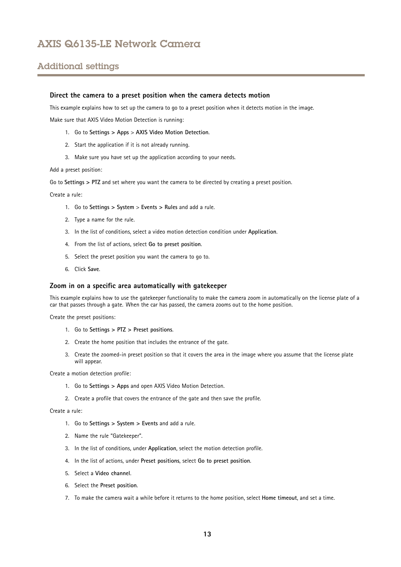# Additional settings

### **Direct the camera to <sup>a</sup> preset position when the camera detects motion**

This example explains how to set up the camera to go to <sup>a</sup> preset position when it detects motion in the image.

Make sure that AXIS Video Motion Detection is running:

- 1. Go to **Settings <sup>&</sup>gt; Apps** <sup>&</sup>gt; **AXIS Video Motion Detection**.
- 2. Start the application if it is not already running.
- 3. Make sure you have set up the application according to your needs.

Add <sup>a</sup> preset position:

Go to **Settings <sup>&</sup>gt; PTZ** and set where you want the camera to be directed by creating <sup>a</sup> preset position.

Create <sup>a</sup> rule:

- 1. Go to **Settings <sup>&</sup>gt; System** <sup>&</sup>gt; **Events <sup>&</sup>gt; Rules** and add <sup>a</sup> rule.
- 2. Type <sup>a</sup> name for the rule.
- 3. In the list of conditions, select <sup>a</sup> video motion detection condition under **Application**.
- 4. From the list of actions, select **Go to preset position**.
- 5. Select the preset position you want the camera to go to.
- 6. Click **Save**.

### **Zoom in on <sup>a</sup> specific area automatically with gatekeeper**

This example explains how to use the gatekeeper functionality to make the camera zoom in automatically on the license plate of <sup>a</sup> car that passes through <sup>a</sup> gate. When the car has passed, the camera zooms out to the home position.

Create the preset positions:

- 1. Go to **Settings <sup>&</sup>gt; PTZ <sup>&</sup>gt; Preset positions**.
- 2. Create the home position that includes the entrance of the gate.
- 3. Create the zoomed-in preset position so that it covers the area in the image where you assume that the license plate will appear.

Create <sup>a</sup> motion detection profile:

- 1. Go to **Settings <sup>&</sup>gt; Apps** and open AXIS Video Motion Detection.
- 2. Create <sup>a</sup> profile that covers the entrance of the gate and then save the profile.

Create <sup>a</sup> rule:

- 1. Go to **Settings <sup>&</sup>gt; System <sup>&</sup>gt; Events** and add <sup>a</sup> rule.
- 2. Name the rule "Gatekeeper".
- 3. In the list of conditions, under **Application**, select the motion detection profile.
- 4. In the list of actions, under **Preset positions**, select **Go to preset position**.
- 5. Select <sup>a</sup> **Video channel**.
- 6. Select the **Preset position**.
- 7. To make the camera wait <sup>a</sup> while before it returns to the home position, select **Home timeout**, and set <sup>a</sup> time.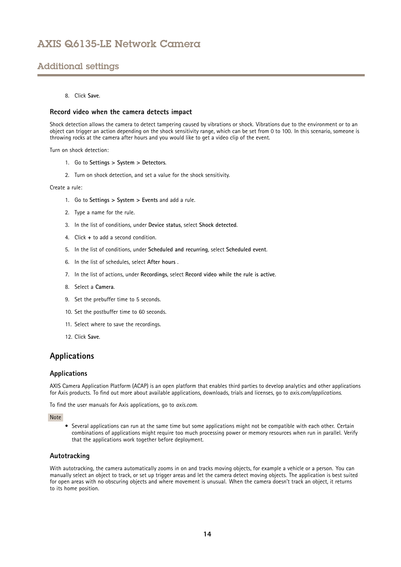# <span id="page-13-0"></span>Additional settings

## 8. Click **Save**.

### **Record video when the camera detects impact**

Shock detection allows the camera to detect tampering caused by vibrations or shock. Vibrations due to the environment or to an object can trigger an action depending on the shock sensitivity range, which can be set from 0 to 100. In this scenario, someone is throwing rocks at the camera after hours and you would like to get <sup>a</sup> video clip of the event.

Turn on shock detection:

- 1. Go to **Settings <sup>&</sup>gt; System <sup>&</sup>gt; Detectors**.
- 2. Turn on shock detection, and set <sup>a</sup> value for the shock sensitivity.

Create <sup>a</sup> rule:

- 1. Go to **Settings <sup>&</sup>gt; System <sup>&</sup>gt; Events** and add <sup>a</sup> rule.
- 2. Type <sup>a</sup> name for the rule.
- 3. In the list of conditions, under **Device status**, select **Shock detected**.
- 4. Click **<sup>+</sup>** to add <sup>a</sup> second condition.
- 5. In the list of conditions, under **Scheduled and recurring**, select **Scheduled event**.
- 6. In the list of schedules, select **After hours** .
- 7. In the list of actions, under **Recordings**, select **Record video while the rule is active**.
- 8. Select <sup>a</sup> **Camera**.
- 9. Set the prebuffer time to 5 seconds.
- 10. Set the postbuffer time to 60 seconds.
- 11. Select where to save the recordings.
- 12. Click **Save**.

## **Applications**

## **Applications**

AXIS Camera Application Platform (ACAP) is an open platform that enables third parties to develop analytics and other applications for Axis products. To find out more about available applications, downloads, trials and licenses, go to *[axis.com/applications](https://www.axis.com/applications)*.

To find the user manuals for Axis applications, go to *[axis.com](https://www.axis.com)*.

Note

• Several applications can run at the same time but some applications might not be compatible with each other. Certain combinations of applications might require too much processing power or memory resources when run in parallel. Verify that the applications work together before deployment.

## **Autotracking**

With autotracking, the camera automatically zooms in on and tracks moving objects, for example <sup>a</sup> vehicle or <sup>a</sup> person. You can manually select an object to track, or set up trigger areas and let the camera detect moving objects. The application is best suited for open areas with no obscuring objects and where movement is unusual. When the camera doesn't track an object, it returns to its home position.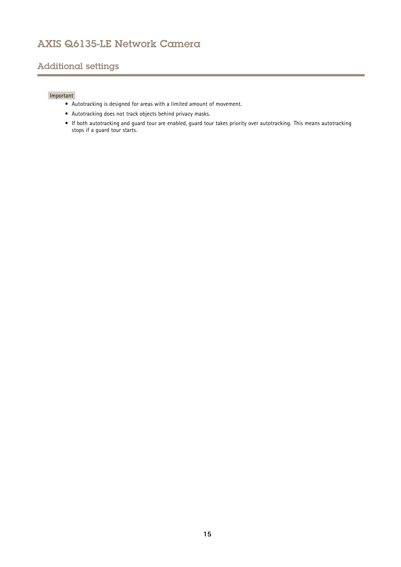# Additional settings

## Important

- Autotracking is designed for areas with <sup>a</sup> limited amount of movement.
- Autotracking does not track objects behind privacy masks.
- If both autotracking and guard tour are enabled, guard tour takes priority over autotracking. This means autotracking stops if <sup>a</sup> guard tour starts.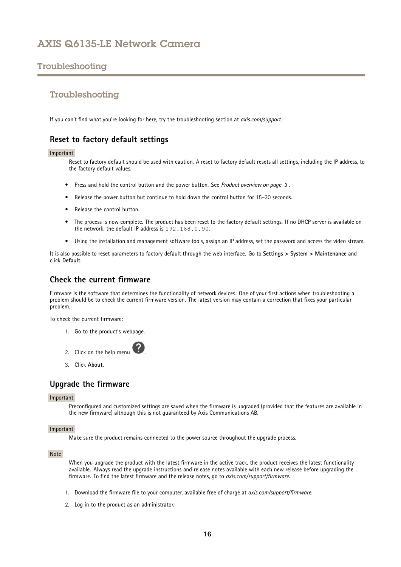# <span id="page-15-0"></span>Troubleshooting

## Troubleshooting

If you can't find what you're looking for here, try the troubleshooting section at *[axis.com/support](https://www.axis.com/support)*.

## **Reset to factory default settings**

### Important

Reset to factory default should be used with caution. A reset to factory default resets all settings, including the IP address, to the factory default values.

- Press and hold the control button and the power button. See *Product [overview](#page-2-0) on page [3](#page-2-0)* .
- Release the power button but continue to hold down the control button for 15–30 seconds.
- •Release the control button.
- • The process is now complete. The product has been reset to the factory default settings. If no DHCP server is available on the network, the default IP address is 192.168.0.90.
- •Using the installation and management software tools, assign an IP address, set the password and access the video stream.

It is also possible to reset parameters to factory default through the web interface. Go to **Settings <sup>&</sup>gt; System <sup>&</sup>gt; Maintenance** and click **Default**.

## **Check the current firmware**

Firmware is the software that determines the functionality of network devices. One of your first actions when troubleshooting <sup>a</sup> problem should be to check the current firmware version. The latest version may contain <sup>a</sup> correction that fixes your particular problem.

To check the current firmware:

- 1. Go to the product's webpage.
- 2. Click on the help menu
- 3. Click **About**.

## **Upgrade the firmware**

### Important

Preconfigured and customized settings are saved when the firmware is upgraded (provided that the features are available in the new firmware) although this is not guaranteed by Axis Communications AB.

### Important

Make sure the product remains connected to the power source throughout the upgrade process.

### Note

When you upgrade the product with the latest firmware in the active track, the product receives the latest functionality available. Always read the upgrade instructions and release notes available with each new release before upgrading the firmware. To find the latest firmware and the release notes, go to *[axis.com/support/firmware](https://www.axis.com/support/firmware)*.

- 1. Download the firmware file to your computer, available free of charge at *[axis.com/support/firmware](https://www.axis.com/support/firmware)*.
- 2. Log in to the product as an administrator.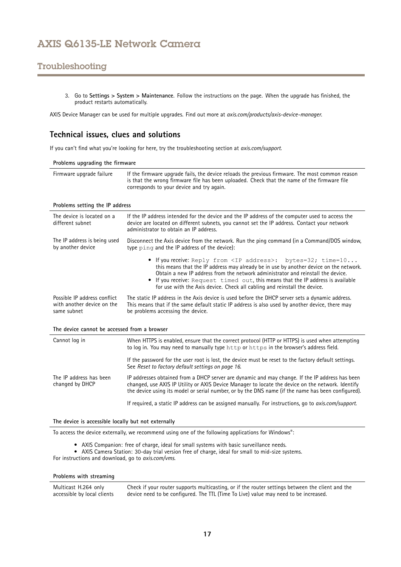# <span id="page-16-0"></span>Troubleshooting

3. Go to **Settings <sup>&</sup>gt; System <sup>&</sup>gt; Maintenance**. Follow the instructions on the page. When the upgrade has finished, the product restarts automatically.

AXIS Device Manager can be used for multiple upgrades. Find out more at *[axis.com/products/axis-device-manager](https://www.axis.com/products/axis-device-manager)*.

## **Technical issues, clues and solutions**

If you can't find what you're looking for here, try the troubleshooting section at *[axis.com/support](https://www.axis.com/support)*.

**Problems upgrading the firmware**

| corresponds to your device and try again. | Firmware upgrade failure | If the firmware upgrade fails, the device reloads the previous firmware. The most common reason<br>is that the wrong firmware file has been uploaded. Check that the name of the firmware file |
|-------------------------------------------|--------------------------|------------------------------------------------------------------------------------------------------------------------------------------------------------------------------------------------|
|-------------------------------------------|--------------------------|------------------------------------------------------------------------------------------------------------------------------------------------------------------------------------------------|

### **Problems setting the IP address**

| The device is located on a<br>different subnet | If the IP address intended for the device and the IP address of the computer used to access the<br>device are located on different subnets, you cannot set the IP address. Contact your network<br>administrator to obtain an IP address.                                                                                                                                                                               |
|------------------------------------------------|-------------------------------------------------------------------------------------------------------------------------------------------------------------------------------------------------------------------------------------------------------------------------------------------------------------------------------------------------------------------------------------------------------------------------|
| The IP address is being used                   | Disconnect the Axis device from the network. Run the ping command (in a Command/DOS window,                                                                                                                                                                                                                                                                                                                             |
| by another device                              | type ping and the IP address of the device):                                                                                                                                                                                                                                                                                                                                                                            |
|                                                | • If you receive: Reply from <ip address="">: bytes=32; time=10<br/>this means that the IP address may already be in use by another device on the network.<br/>Obtain a new IP address from the network administrator and reinstall the device.<br/>• If you receive: Request timed out, this means that the IP address is available<br/>for use with the Axis device. Check all cabling and reinstall the device.</ip> |
| Possible IP address conflict                   | The static IP address in the Axis device is used before the DHCP server sets a dynamic address.                                                                                                                                                                                                                                                                                                                         |
| with another device on the                     | This means that if the same default static IP address is also used by another device, there may                                                                                                                                                                                                                                                                                                                         |
| same subnet                                    | be problems accessing the device.                                                                                                                                                                                                                                                                                                                                                                                       |

### **The device cannot be accessed from <sup>a</sup> browser**

| Cannot log in                              | When HTTPS is enabled, ensure that the correct protocol (HTTP or HTTPS) is used when attempting<br>to log in. You may need to manually type http or https in the browser's address field.                                                                                                                  |
|--------------------------------------------|------------------------------------------------------------------------------------------------------------------------------------------------------------------------------------------------------------------------------------------------------------------------------------------------------------|
|                                            | If the password for the user root is lost, the device must be reset to the factory default settings.<br>See Reset to factory default settings on page 16.                                                                                                                                                  |
| The IP address has been<br>changed by DHCP | IP addresses obtained from a DHCP server are dynamic and may change. If the IP address has been<br>changed, use AXIS IP Utility or AXIS Device Manager to locate the device on the network. Identify<br>the device using its model or serial number, or by the DNS name (if the name has been configured). |
|                                            | If required, a static IP address can be assigned manually. For instructions, go to axis.com/support.                                                                                                                                                                                                       |

**The device is accessible locally but not externally**

To access the device externally, we recommend using one of the following applications for Windows® :

- AXIS Companion: free of charge, ideal for small systems with basic surveillance needs.
- AXIS Camera Station: 30-day trial version free of charge, ideal for small to mid-size systems.

For instructions and download, go to *[axis.com/vms](https://www.axis.com/vms)*.

### **Problems with streaming**

Multicast H.264 only accessible by local clients Check if your router supports multicasting, or if the router settings between the client and the device need to be configured. The TTL (Time To Live) value may need to be increased.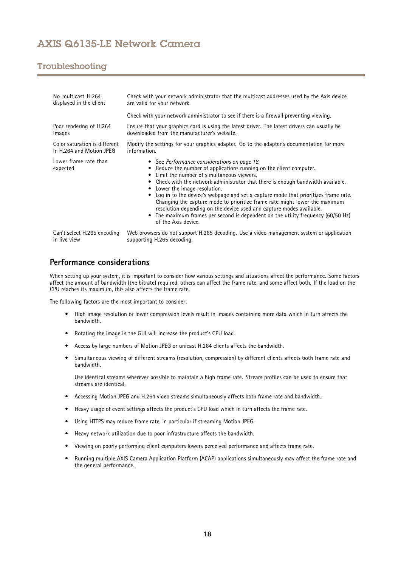# <span id="page-17-0"></span>Troubleshooting

| No multicast H.264<br>displayed in the client | Check with your network administrator that the multicast addresses used by the Axis device<br>are valid for your network.<br>Check with your network administrator to see if there is a firewall preventing viewing.                                                                                                                                                                                                                                                                                                                                                                                                                       |
|-----------------------------------------------|--------------------------------------------------------------------------------------------------------------------------------------------------------------------------------------------------------------------------------------------------------------------------------------------------------------------------------------------------------------------------------------------------------------------------------------------------------------------------------------------------------------------------------------------------------------------------------------------------------------------------------------------|
| Poor rendering of H.264                       | Ensure that your graphics card is using the latest driver. The latest drivers can usually be                                                                                                                                                                                                                                                                                                                                                                                                                                                                                                                                               |
| images                                        | downloaded from the manufacturer's website.                                                                                                                                                                                                                                                                                                                                                                                                                                                                                                                                                                                                |
| Color saturation is different                 | Modify the settings for your graphics adapter. Go to the adapter's documentation for more                                                                                                                                                                                                                                                                                                                                                                                                                                                                                                                                                  |
| in H.264 and Motion JPEG                      | information.                                                                                                                                                                                                                                                                                                                                                                                                                                                                                                                                                                                                                               |
| Lower frame rate than<br>expected             | • See Performance considerations on page 18.<br>• Reduce the number of applications running on the client computer.<br>Limit the number of simultaneous viewers.<br>• Check with the network administrator that there is enough bandwidth available.<br>• Lower the image resolution.<br>Log in to the device's webpage and set a capture mode that prioritizes frame rate.<br>Changing the capture mode to prioritize frame rate might lower the maximum<br>resolution depending on the device used and capture modes available.<br>The maximum frames per second is dependent on the utility frequency (60/50 Hz)<br>of the Axis device. |
| Can't select H.265 encoding                   | Web browsers do not support H.265 decoding. Use a video management system or application                                                                                                                                                                                                                                                                                                                                                                                                                                                                                                                                                   |
| in live view                                  | supporting H.265 decoding.                                                                                                                                                                                                                                                                                                                                                                                                                                                                                                                                                                                                                 |

# **Performance considerations**

When setting up your system, it is important to consider how various settings and situations affect the performance. Some factors affect the amount of bandwidth (the bitrate) required, others can affect the frame rate, and some affect both. If the load on the CPU reaches its maximum, this also affects the frame rate.

The following factors are the most important to consider:

- High image resolution or lower compression levels result in images containing more data which in turn affects the bandwidth.
- Rotating the image in the GUI will increase the product's CPU load.
- •Access by large numbers of Motion JPEG or unicast H.264 clients affects the bandwidth.
- • Simultaneous viewing of different streams (resolution, compression) by different clients affects both frame rate and bandwidth.

Use identical streams wherever possible to maintain <sup>a</sup> high frame rate. Stream profiles can be used to ensure that streams are identical.

- Accessing Motion JPEG and H.264 video streams simultaneously affects both frame rate and bandwidth.
- Heavy usage of event settings affects the product's CPU load which in turn affects the frame rate.
- Using HTTPS may reduce frame rate, in particular if streaming Motion JPEG.
- Heavy network utilization due to poor infrastructure affects the bandwidth.
- •Viewing on poorly performing client computers lowers perceived performance and affects frame rate.
- • Running multiple AXIS Camera Application Platform (ACAP) applications simultaneously may affect the frame rate and the general performance.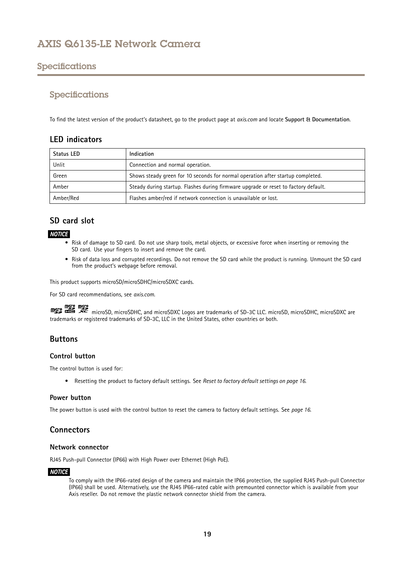# <span id="page-18-0"></span>Specifications

# Specifications

To find the latest version of the product's datasheet, go to the product page at *[axis.com](https://www.axis.com)* and locate **Support & Documentation**.

## **LED indicators**

| <b>Status LED</b> | Indication                                                                          |
|-------------------|-------------------------------------------------------------------------------------|
| Unlit             | Connection and normal operation.                                                    |
| Green             | Shows steady green for 10 seconds for normal operation after startup completed.     |
| Amber             | Steady during startup. Flashes during firmware upgrade or reset to factory default. |
| Amber/Red         | Flashes amber/red if network connection is unavailable or lost.                     |

# **SD card slot**

## *NOTICE*

- • Risk of damage to SD card. Do not use sharp tools, metal objects, or excessive force when inserting or removing the SD card. Use your fingers to insert and remove the card.
- Risk of data loss and corrupted recordings. Do not remove the SD card while the product is running. Unmount the SD card from the product's webpage before removal.

This product supports microSD/microSDHC/microSDXC cards.

For SD card recommendations, see *[axis.com](https://www.axis.com)*.

might might many microSD, microSDHC, and microSDXC Logos are trademarks of SD-3C LLC. microSD, microSDHC, microSDXC are trademarks or registered trademarks of SD-3C, LLC in the United States, other countries or both.

# **Buttons**

## **Control button**

The control button is used for:

• Resetting the product to factory default settings. See *Reset to factory default [settings](#page-15-0) on page [16](#page-15-0)*.

## **Power button**

The power button is used with the control button to reset the camera to factory default settings. See *[page](#page-15-0) [16](#page-15-0)*.

# **Connectors**

## **Network connector**

RJ45 Push-pull Connector (IP66) with High Power over Ethernet (High PoE).

## *NOTICE*

To comply with the IP66-rated design of the camera and maintain the IP66 protection, the supplied RJ45 Push-pull Connector (IP66) shall be used. Alternatively, use the RJ45 IP66-rated cable with premounted connector which is available from your Axis reseller. Do not remove the plastic network connector shield from the camera.